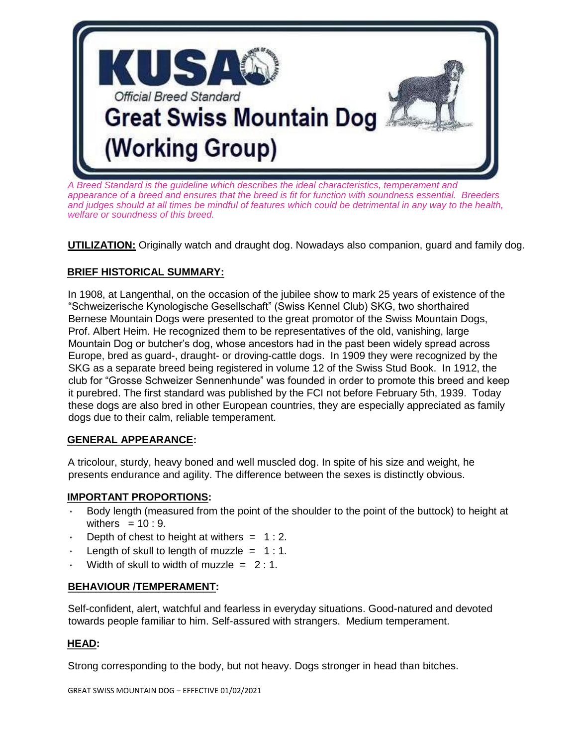

*A Breed Standard is the guideline which describes the ideal characteristics, temperament and appearance of a breed and ensures that the breed is fit for function with soundness essential. Breeders and judges should at all times be mindful of features which could be detrimental in any way to the health, welfare or soundness of this breed.*

**UTILIZATION:** Originally watch and draught dog. Nowadays also companion, guard and family dog.

### **BRIEF HISTORICAL SUMMARY:**

In 1908, at Langenthal, on the occasion of the jubilee show to mark 25 years of existence of the "Schweizerische Kynologische Gesellschaft" (Swiss Kennel Club) SKG, two shorthaired Bernese Mountain Dogs were presented to the great promotor of the Swiss Mountain Dogs, Prof. Albert Heim. He recognized them to be representatives of the old, vanishing, large Mountain Dog or butcher's dog, whose ancestors had in the past been widely spread across Europe, bred as guard-, draught- or droving-cattle dogs. In 1909 they were recognized by the SKG as a separate breed being registered in volume 12 of the Swiss Stud Book. In 1912, the club for "Grosse Schweizer Sennenhunde" was founded in order to promote this breed and keep it purebred. The first standard was published by the FCI not before February 5th, 1939. Today these dogs are also bred in other European countries, they are especially appreciated as family dogs due to their calm, reliable temperament.

#### **GENERAL APPEARANCE:**

A tricolour, sturdy, heavy boned and well muscled dog. In spite of his size and weight, he presents endurance and agility. The difference between the sexes is distinctly obvious.

#### **IMPORTANT PROPORTIONS:**

- Body length (measured from the point of the shoulder to the point of the buttock) to height at withers  $= 10 : 9$ .
- Depth of chest to height at withers  $= 1:2$ .
- Length of skull to length of muzzle  $= 1:1$ .
- Width of skull to width of muzzle  $= 2:1$ .

#### **BEHAVIOUR /TEMPERAMENT:**

Self-confident, alert, watchful and fearless in everyday situations. Good-natured and devoted towards people familiar to him. Self-assured with strangers. Medium temperament.

#### **HEAD:**

Strong corresponding to the body, but not heavy. Dogs stronger in head than bitches.

GREAT SWISS MOUNTAIN DOG – EFFECTIVE 01/02/2021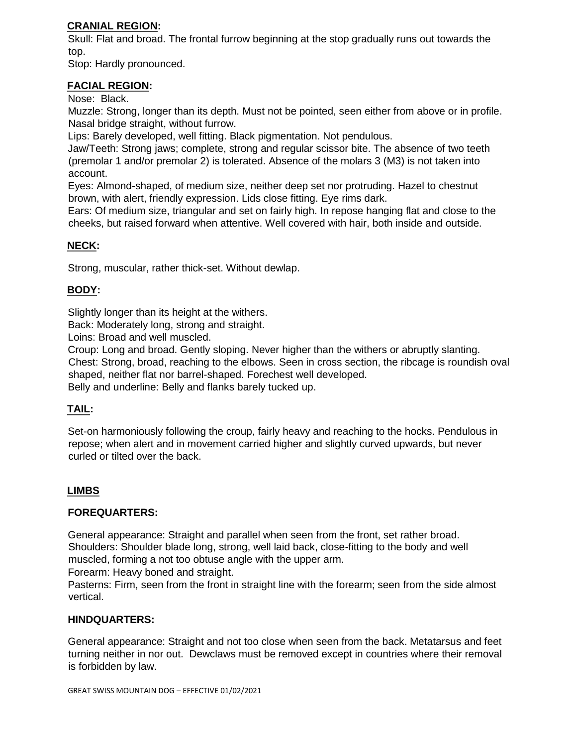## **CRANIAL REGION:**

Skull: Flat and broad. The frontal furrow beginning at the stop gradually runs out towards the top.

Stop: Hardly pronounced.

## **FACIAL REGION:**

Nose: Black.

Muzzle: Strong, longer than its depth. Must not be pointed, seen either from above or in profile. Nasal bridge straight, without furrow.

Lips: Barely developed, well fitting. Black pigmentation. Not pendulous.

Jaw/Teeth: Strong jaws; complete, strong and regular scissor bite. The absence of two teeth (premolar 1 and/or premolar 2) is tolerated. Absence of the molars 3 (M3) is not taken into account.

Eyes: Almond-shaped, of medium size, neither deep set nor protruding. Hazel to chestnut brown, with alert, friendly expression. Lids close fitting. Eye rims dark.

Ears: Of medium size, triangular and set on fairly high. In repose hanging flat and close to the cheeks, but raised forward when attentive. Well covered with hair, both inside and outside.

## **NECK:**

Strong, muscular, rather thick-set. Without dewlap.

## **BODY:**

Slightly longer than its height at the withers.

Back: Moderately long, strong and straight.

Loins: Broad and well muscled.

Croup: Long and broad. Gently sloping. Never higher than the withers or abruptly slanting. Chest: Strong, broad, reaching to the elbows. Seen in cross section, the ribcage is roundish oval shaped, neither flat nor barrel-shaped. Forechest well developed.

Belly and underline: Belly and flanks barely tucked up.

# **TAIL:**

Set-on harmoniously following the croup, fairly heavy and reaching to the hocks. Pendulous in repose; when alert and in movement carried higher and slightly curved upwards, but never curled or tilted over the back.

## **LIMBS**

#### **FOREQUARTERS:**

General appearance: Straight and parallel when seen from the front, set rather broad. Shoulders: Shoulder blade long, strong, well laid back, close-fitting to the body and well muscled, forming a not too obtuse angle with the upper arm.

Forearm: Heavy boned and straight.

Pasterns: Firm, seen from the front in straight line with the forearm; seen from the side almost vertical.

#### **HINDQUARTERS:**

General appearance: Straight and not too close when seen from the back. Metatarsus and feet turning neither in nor out. Dewclaws must be removed except in countries where their removal is forbidden by law.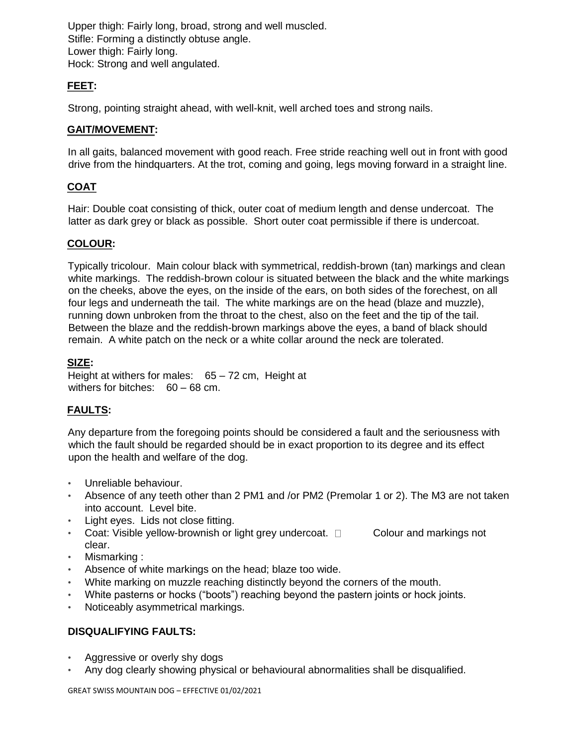Upper thigh: Fairly long, broad, strong and well muscled. Stifle: Forming a distinctly obtuse angle. Lower thigh: Fairly long. Hock: Strong and well angulated.

## **FEET:**

Strong, pointing straight ahead, with well-knit, well arched toes and strong nails.

#### **GAIT/MOVEMENT:**

In all gaits, balanced movement with good reach. Free stride reaching well out in front with good drive from the hindquarters. At the trot, coming and going, legs moving forward in a straight line.

# **COAT**

Hair: Double coat consisting of thick, outer coat of medium length and dense undercoat. The latter as dark grey or black as possible. Short outer coat permissible if there is undercoat.

### **COLOUR:**

Typically tricolour. Main colour black with symmetrical, reddish-brown (tan) markings and clean white markings. The reddish-brown colour is situated between the black and the white markings on the cheeks, above the eyes, on the inside of the ears, on both sides of the forechest, on all four legs and underneath the tail. The white markings are on the head (blaze and muzzle), running down unbroken from the throat to the chest, also on the feet and the tip of the tail. Between the blaze and the reddish-brown markings above the eyes, a band of black should remain. A white patch on the neck or a white collar around the neck are tolerated.

#### **SIZE:**

Height at withers for males: 65 – 72 cm, Height at withers for bitches: 60 – 68 cm.

## **FAULTS:**

Any departure from the foregoing points should be considered a fault and the seriousness with which the fault should be regarded should be in exact proportion to its degree and its effect upon the health and welfare of the dog.

- Unreliable behaviour.
- Absence of any teeth other than 2 PM1 and /or PM2 (Premolar 1 or 2). The M3 are not taken into account. Level bite.
- Light eyes. Lids not close fitting.
- Coat: Visible yellow-brownish or light grey undercoat.  $\Box$  Colour and markings not clear.
- Mismarking :
- Absence of white markings on the head; blaze too wide.
- White marking on muzzle reaching distinctly beyond the corners of the mouth.
- White pasterns or hocks ("boots") reaching beyond the pastern joints or hock joints.
- Noticeably asymmetrical markings.

## **DISQUALIFYING FAULTS:**

- Aggressive or overly shy dogs
- Any dog clearly showing physical or behavioural abnormalities shall be disqualified.

GREAT SWISS MOUNTAIN DOG – EFFECTIVE 01/02/2021